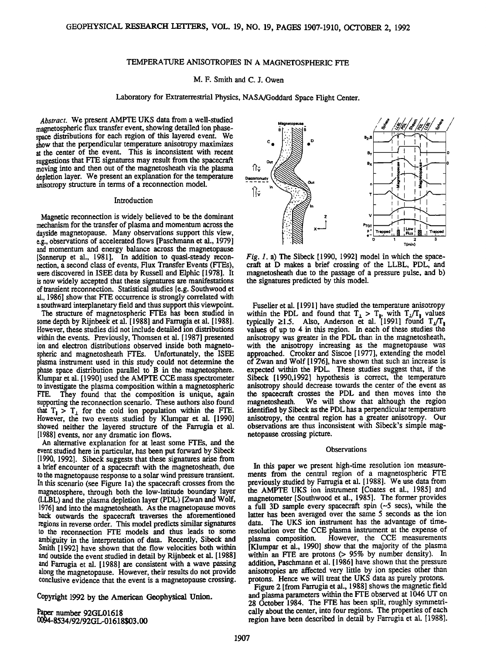## **TEMPERATURE ANISOTROPIES IN A MAGNETOSPHERIC FTE**

## **M. F. Smith and C. J. Owen**

# **Laboratory for Extraterrestrial Physics, NASA/Goddard Space Flight Center.**

**Abstract. We present AMPTE UKS data from a well-studied magnetospheric flux transfer event, showing detailed ion phasespace distributions foreach region of this layered event. We show that the perpendicular temperature anisotropy maximizes**  at the center of the event. This is inconsistent with recent **suggestions that FTE signatures may result from the spacecraft moving into and then out of the magnetosheath via the plasma depletion layer. We present an explanation for the temperature anisotropy structure in terms of a reconnection model.** 

#### **Introduction**

**Magnetic reconnection iswidely believed to be the dominant mechanism for the transfer of plasma and momentum across the dayside magnetopause. Many observations support this view, e.g., observations of accelerated flows [Paschmann et al., 1979] and momentum and energy balance across the magnetopause [Sonnerup et al., 1981]. In addition to quasi-steady reconnection, a second class of events, Flux Transfer Events (FTEs), were discovered in ISEE data by Russell and Elphic [1978]. It is now widely accepted that these signatures are manifestations of transient reconnection. Statistical studies [e.g. Southwood et al., 1986] show that FTE occurrence is strongly correlated with a southward interplanetary field and thus support this viewpoint.** 

**The structure of magnetospheric FTEs has been studied in some depth by Rijnbeek et al. [ 1988 ]and Farrugia et al. [ 1988]. However, these studies did not include detailed ion distributions within the events. Previously, Thomsen et al. [1987] presented ion and electron distributions observed inside both magnetospheric and magnetosheath FTEs. Unfortunately, the ISEE plasma instrument used in this study could not determine the phase space distribution parallel to B in the magnetosphere. Klumpar et al. [1990] used the AMPTE CCE mass spectrometer to investigate the plasma composition within a magnetospheric FTE. They found that the composition is unique, again supporting the reconnection scenario. These authors also found**   $\begin{bmatrix} \text{that} & I_1 \end{bmatrix}$  is the cold ion population within the FIE. **However, the two events studied by Klumpar et al. [1990]**  showed neither the layered structure of the Farrugia et al. **[1988] events, nor any dramatic ion flows.** 

An alternative explanation for at least some FTEs, and the **event studied here in particular, has been put forward by Sibeck [1990, 19921. Sibeck suggestshat these signatures arise from a brief encounter of a spacecraft with the magnetosheath, due to the magnetopause response to a solar wind pressure transient. In this scenario (see Figure l a) the spacecraft crosses from the magnetosphere, through both the low-latitude boundary layer (LLBL) and the plasma depletion layer (PDL) [Zwan and Wolf, 1976] and into the magnetosheath. As the magnetopause moves back outwards the spacecraft traverses the aforementioned regions in reverse order. This model predicts similar signatures to the reconnection FTE models and thus leads to some ambiguity in the interpretation of data. Recently, Sibeck and Smith [1992] have shown that the flow velocities both within and outside the event studied in detail by Rijnbeek et al. [ 1988] and Farrugia et al. [1988] are consistent with a wave passing along the magnetopause. However, their results do not provide conclusive evidence that the event is a magnetopause crossing.** 

**Copyright 1992 by the American Geophysical Union.** 

**a• number 92GL01618 4-8534/92/92GL-01618503.00** 

**Magnetopause Ou,**  िं **Discontinuity : All Out**<br> **Burger : All Out**<br> **Burger : All Out** Trapp

Fig. 1. a) The Sibeck [1990, 1992] model in which the space**craft at D makes a brief crossing of the LLBL, PDL, and magnetosheath due to the passage of a pressure pulse, and b) the signatures predicted by this model.** 

**Fuselier et al. [ 1991 ] have studied the temperature anisotropy**  within the PDL and found that  $T_1 > T_1$ , with  $T_2/T_1$  values  $\tt{typically} \geq 1.5.$  Also, Anderson et al.  $[1991]$  found  $T_1/T_1$ **values of up to 4 in this region. In each of these studies the anisotropy was greater in the PDL than in the magnetosheath, with the anisotropy increasing as the magnetopause was approached. Crooker and Siscoe [1977], extending the model of Zwan and Wolf [1976], have shown that such an increase is expected within the PDL. These studies suggest that, if the Sibeck [1990,1992] hypothesis is correct, the temperature anisotropy should decrease towards the center of the event as the spacecraft crosses the PDL and then moves into the**  We will show that although the region **identified by Sibeck as the PDL has a perpendicular temperature anisotropy, the central region has a greater anisotropy. Our observations are thus inconsistent with Sibeck's simple magnetopause crossing picture.** 

#### **Observations**

**In this paper we present high-time resolution ion measurements from the central region of a magnetospheric FTE previously studied by Farrugia etal. [1988]. We use data from the AMPTE UKS ion instrument [Coates et al., 1985] and magnetometer [Southwood et al., 1985]. The former provides a full 3D sample every spacecraft spin (-5 secs), while the latter has been averaged over the same 5 seconds as the ion data. The UKS ion instrument has the advantage of time**resolution over the CCE plasma instrument at the expense of plasma composition. However, the CCE measurements **plasma composition. However, the CCE measurements [Klumpar et al., 1990] show that the majority of the plasma within an FTE are protons (> 95% by number density). in addition, Paschmann et al. [1986] have shown that the pressure anisotropies are affected very little by ion species other than**  protons. Hence we will treat the UKS data as purely protons.

Figure 2 [from Farrugia et al., 1988] shows the magnetic field **and plasma parameters within the FTE observed at 1046 UT on 28 October 1984. The FTE has been split, roughly symmetrica!ly about the center, into four regiorks. The properties of each**  region have been described in detail by Farrugia et al. [1988].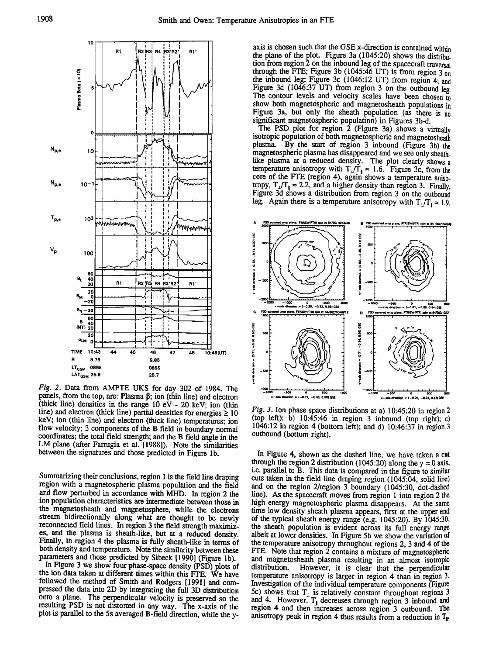

Fig. 2. Data from AMPTE UKS for day 302 of 1984. The panels, from the top, are: Plasma  $\beta$ ; ion (thin line) and electron (thick line) densities in the range  $10 eV - 20 keV$ ; ion (thin line) and electron (thick line) partial densities for energies  $\geq 10$ keV; ion (thin line) and electron (thick line) temperatures; ion flow velocity; 3 components of the B field in boundary normal coordinates; the total field strength; and the B field angle in the LM plane (after Farrugia et al. [1988]). Note the similarities between the signatures and those predicted in Figure 1b.

Summarizing their conclusions, region 1 is the field line draping region with a magnetospheric plasma population and the field and flow perturbed in accordance with MHD. In region 2 the ion population characteristics are intermediate between those in the magnetosheath and magnetosphere, while the electrons stream bidirectionally along what are thought to be newly reconnected field lines. In region 3 the field strength maximizes, and the plasma is sheath-like, but at a reduced density. Finally, in region 4 the plasma is fully sheath-like in terms of both density and temperature. Note the similarity between these parameters and those predicted by Sibeck [1990] (Figure 1b).

In Figure 3 we show four phase-space density (PSD) plots of the ion data taken at different times within this FTE. We have followed the method of Smith and Rodgers [1991] and compressed the data into 2D by integrating the full 3D distribution onto a plane. The perpendicular velocity is preserved so the resulting PSD is not distorted in any way. The x-axis of the plot is parallel to the 5s averaged B-field direction, while the yaxis is chosen such that the GSE x-direction is contained within the plane of the plot. Figure 3a (1045:20) shows the distribution from region 2 on the inbound leg of the spacecraft traversal through the FTE; Figure 3b (1045:46 UT) is from region  $3 \text{ on}$ the inbound leg; Figure 3c (1046:12 UT) from region 4; and Figure 3d (1046:37 UT) from region 3 on the outbound leg. The contour levels and velocity scales have been chosen to show both magnetospheric and magnetosheath populations in Figure 3a, but only the sheath population (as there is no significant magnetospheric population) in Figures 3b-d.

The PSD plot for region 2 (Figure 3a) shows a virtually isotropic population of both magnetospheric and magnetosheath plasma. By the start of region 3 inbound (Figure 3b) the magnetospheric plasma has disappeared and we see only sheathlike plasma at a reduced density. The plot clearly shows a temperature anisotropy with  $T_1/T_1 \approx 1.6$ . Figure 3c, from the core of the FTE (region 4), again shows a temperature anisotropy,  $T_1/T_1 \approx 2.2$ , and a higher density than region 3. Finally, Figure 3d shows a distribution from region 3 on the outbound leg. Again there is a temperature anisotropy with  $T_1/T_1 \approx 1.9$ .



Fig. 3. Ion phase space distributions at a) 10:45:20 in region 2 (top left); b) 10:45:46 in region 3 inbound (top right); c) 1046:12 in region 4 (bottom left); and d)  $10:46:37$  in region 3 outbound (bottom right).

In Figure 4, shown as the dashed line, we have taken a cut through the region 2 distribution (1045:20) along the  $y = 0$  axis, i.e. parallel to B. This data is compared in the figure to similar cuts taken in the field line draping region (1045:04, solid line) and on the region 2/region 3 boundary (1045:30, dot-dashed line). As the spacecraft moves from region 1 into region 2 the high energy magnetospheric plasma disappears. At the same time low density sheath plasma appears, first at the upper end of the typical sheath energy range (e.g. 1045:20). By 1045:30, the sheath population is evident across its full energy range albeit at lower densities. In Figure 5b we show the variation of the temperature anisotropy throughout regions 2, 3 and 4 of the FTE. Note that region 2 contains a mixture of magnetospheric and magnetosheath plasma resulting in an almost isotropic distribution. However, it is clear that the perpendicular temperature anisotropy is larger in region 4 than in region 3. Investigation of the individual temperature components (Figure 5c) shows that  $T_{\perp}$  is relatively constant throughout regions 3 and 4. However,  $T_1$  decreases through region 3 inbound and region 4 and then increases across region 3 outbound. The anisotropy peak in region 4 thus results from a reduction in  $T_r$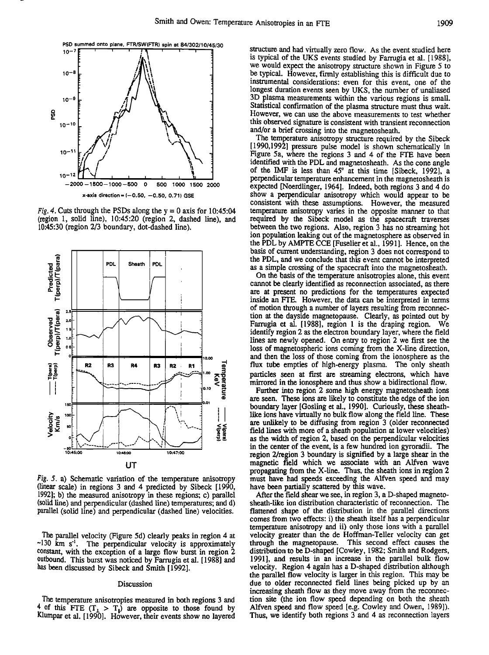

**Fig. 4. Cuts through the PSDs along the y = 0 axis for 10:45:04 (region 1, solid line), 10:45:20 (region 2, dashed line), and 10:45:30 (region 2/3 boundary, dot-dashed line).** 



**Fig. 5. a) Schematic variation of the temperature anisotropy (linear scale) in regions 3 and 4 predicted by Sibeck [1990, 1992]; b) the measured anisotropy inthese regions; c) parallel (solid line) and perpendicular (dashed line) temperatures; and d) parallel (solid line) and perpendicular (dashed line) velocities.** 

**The parallel velocity (Figure 5d) clearly peaks in region 4 at ~130 km s '•. The perpendicular velocity is approximately**  constant, with the exception of a large flow burst in region 2 **outbound. This burst was noticed by Farrugia et al. [ 1988] and**  has been discussed by Sibeck and Smith [1992].

### **Discussion**

**The temperature anisotropies measured inboth regions 3and**  <sup>4</sup> of this FTE  $(T_1 > T_1)$  are opposite to those found by Klumpar et al. [1990]. However, their events show no layered **structure and had virtually zero flow. As the event studied here**  is typical of the UKS events studied by Farrugia et al. [1988], **we would expect the anisotropy structure shown in Figure 5 to be typical. However, firmly establishing this is difficult due to instrumental considerations: even for this event, one of the longest duration events seen by UKS, the number of unaliased 3D plasma measurements within the various regions is small.**  Statistical confirmation of the plasma structure must thus wait. **However, we can use the above measurements to test whether this observed signature is consistent with transient reconnection and/or a brief crossing into the magnetosheath.** 

**The temperature anisotropy structure required by the Sibeck [1990,1992] pressure pulse model is shown schematically in Figure 5a, where the regions 3 and 4 of the FTE have been**  identified with the PDL and magnetosheath. As the cone angle of the IMF is less than 45° at this time [Sibeck, 1992], a **perpendicular temperature enhancement in the magnetosheath is expected [Noerdlinger, 1964]. Indeed, both regions 3 and 4 do show a perpendicular anisotropy which would appear to be consistent with these assumptions. However, the measured temperature anisotropy varies in the opposite manner to that required by the Sibeck model as the spacecraft traverses between the two regions. Also, region 3 has no streaming hot ion population leaking out of the magnetosphere as observed in the PDL by AMPTE CCE [Fuselier et al., ! 991 ]. Hence, on the basis of current understanding, region 3 does not correspond to the PDL, and we conclude that this event cannot be interpreted as a simple crossing of the spacecraft into the magnetosheath.** 

**On the basis of the temperature anisotropies alone, this event cannot be clearly identified as reconnection associated, as there are at present no predictions for the temperatures expected inside an FTE. However, the data can be interpreted in terms of motion through a number of layers resulting from reconnection at the dayside magnetopause. Clearly, as pointed out by Farrugia et al. [1988], region 1 is the draping region. We identify region 2 as the electron boundary layer, where the field lines are newly opened. On entry to region 2 we first see the**  loss of magnetospheric ions coming from the X-line direction, **and then the loss of those coming from the ionosphere as the flux tube empties of high-energy plasma. The only sheath particles seen at first are streaming electrons, which have mirrored in the ionosphere and thus show a bidirectional flow.** 

**Further into region 2 some high energy magnetosheath ions are seen. These ions are likely to constitute the edge of the ion boundary layer [Gosling et al., 1990]. Curiously, these sheathlike ions have virtually no bulk flow along the field line. These are unlikely to be diffusing from region 3 (older reconnected**  field lines with more of a sheath population at lower velocities) **as the width of region 2, based on the perpendicular velocities in the center of the event, is a few hundred ion gyroradii. The region 2/region 3 boundary is signified by a large shear in the magnetic field which we associate with an Alfven wave propagating from the X-line. Thus, the sheath ions in region 2 must have had speeds exceeding the Alfven speed and may have been partially scattered by this wave.** 

**After the field shear we see, in region 3, a D-shaped magnetosheath-like ion distribution characteristic of reconnection. The flattened shape of the distribution in the parallel directions comes from two effects: i) the sheath itself has a perpendicular temperature anisotropy and ii) only those ions with a parallel velocity greater than the de Hoffman-Teller velocity can get through the magnetopause. This second effect causes the distribution to be D-shaped [Cowley, 1982; Smith and Rodgers, 199!], and results in an increase in the parallel bulk flow velocity. Region 4 again has a D-shaped distribution although the parallel flow velocity is larger in this region. This may be due to older reconnected field lines being picked up by an increasing sheath flow as they move away from the reconnection site (the ion flow speed depending on both the sheath Alfven speed and flow speed [e.g. Cowley and Owen, 1989]). Thus, we identify both regions 3 and 4 as reconnection layers**